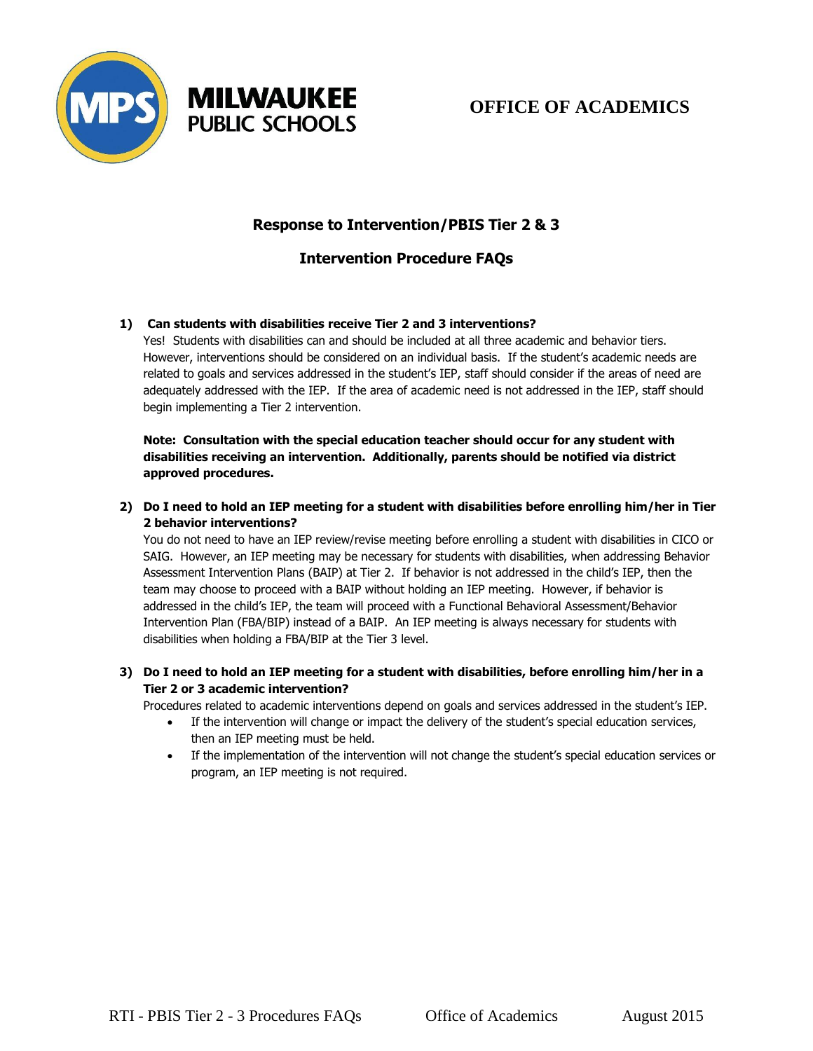



# **OFFICE OF ACADEMICS**

## **Response to Intervention/PBIS Tier 2 & 3**

### **Intervention Procedure FAQs**

#### **1) Can students with disabilities receive Tier 2 and 3 interventions?**

Yes! Students with disabilities can and should be included at all three academic and behavior tiers. However, interventions should be considered on an individual basis. If the student's academic needs are related to goals and services addressed in the student's IEP, staff should consider if the areas of need are adequately addressed with the IEP. If the area of academic need is not addressed in the IEP, staff should begin implementing a Tier 2 intervention.

**Note: Consultation with the special education teacher should occur for any student with disabilities receiving an intervention. Additionally, parents should be notified via district approved procedures.** 

**2) Do I need to hold an IEP meeting for a student with disabilities before enrolling him/her in Tier 2 behavior interventions?**

You do not need to have an IEP review/revise meeting before enrolling a student with disabilities in CICO or SAIG. However, an IEP meeting may be necessary for students with disabilities, when addressing Behavior Assessment Intervention Plans (BAIP) at Tier 2. If behavior is not addressed in the child's IEP, then the team may choose to proceed with a BAIP without holding an IEP meeting. However, if behavior is addressed in the child's IEP, the team will proceed with a Functional Behavioral Assessment/Behavior Intervention Plan (FBA/BIP) instead of a BAIP. An IEP meeting is always necessary for students with disabilities when holding a FBA/BIP at the Tier 3 level.

#### **3) Do I need to hold an IEP meeting for a student with disabilities, before enrolling him/her in a Tier 2 or 3 academic intervention?**

Procedures related to academic interventions depend on goals and services addressed in the student's IEP.

- If the intervention will change or impact the delivery of the student's special education services, then an IEP meeting must be held.
- If the implementation of the intervention will not change the student's special education services or program, an IEP meeting is not required.